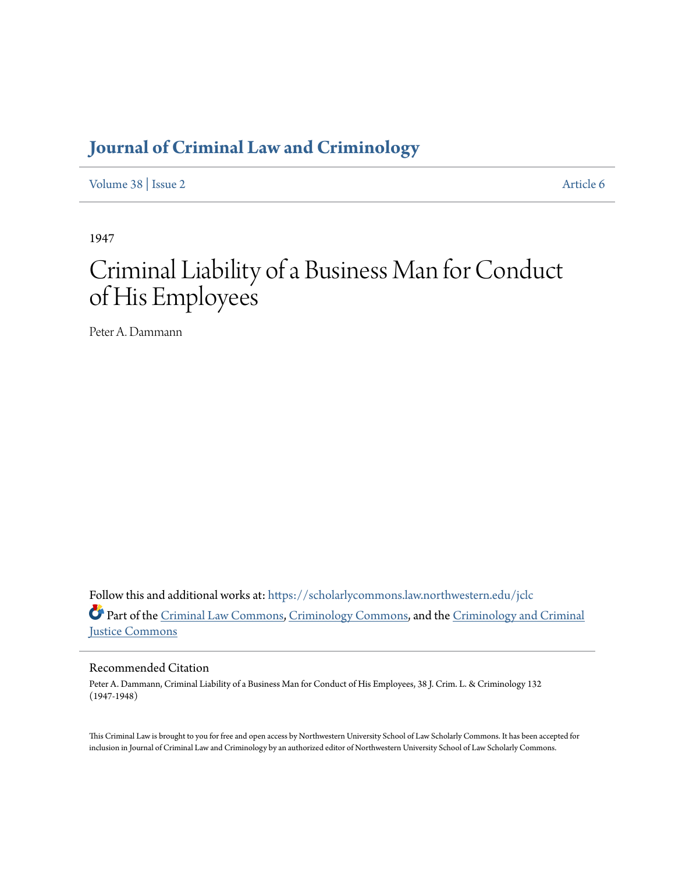# **[Journal of Criminal Law and Criminology](https://scholarlycommons.law.northwestern.edu/jclc?utm_source=scholarlycommons.law.northwestern.edu%2Fjclc%2Fvol38%2Fiss2%2F6&utm_medium=PDF&utm_campaign=PDFCoverPages)**

[Volume 38](https://scholarlycommons.law.northwestern.edu/jclc/vol38?utm_source=scholarlycommons.law.northwestern.edu%2Fjclc%2Fvol38%2Fiss2%2F6&utm_medium=PDF&utm_campaign=PDFCoverPages) | [Issue 2](https://scholarlycommons.law.northwestern.edu/jclc/vol38/iss2?utm_source=scholarlycommons.law.northwestern.edu%2Fjclc%2Fvol38%2Fiss2%2F6&utm_medium=PDF&utm_campaign=PDFCoverPages) [Article 6](https://scholarlycommons.law.northwestern.edu/jclc/vol38/iss2/6?utm_source=scholarlycommons.law.northwestern.edu%2Fjclc%2Fvol38%2Fiss2%2F6&utm_medium=PDF&utm_campaign=PDFCoverPages)

1947

# Criminal Liability of a Business Man for Conduct of His Employees

Peter A. Dammann

Follow this and additional works at: [https://scholarlycommons.law.northwestern.edu/jclc](https://scholarlycommons.law.northwestern.edu/jclc?utm_source=scholarlycommons.law.northwestern.edu%2Fjclc%2Fvol38%2Fiss2%2F6&utm_medium=PDF&utm_campaign=PDFCoverPages) Part of the [Criminal Law Commons](http://network.bepress.com/hgg/discipline/912?utm_source=scholarlycommons.law.northwestern.edu%2Fjclc%2Fvol38%2Fiss2%2F6&utm_medium=PDF&utm_campaign=PDFCoverPages), [Criminology Commons](http://network.bepress.com/hgg/discipline/417?utm_source=scholarlycommons.law.northwestern.edu%2Fjclc%2Fvol38%2Fiss2%2F6&utm_medium=PDF&utm_campaign=PDFCoverPages), and the [Criminology and Criminal](http://network.bepress.com/hgg/discipline/367?utm_source=scholarlycommons.law.northwestern.edu%2Fjclc%2Fvol38%2Fiss2%2F6&utm_medium=PDF&utm_campaign=PDFCoverPages) [Justice Commons](http://network.bepress.com/hgg/discipline/367?utm_source=scholarlycommons.law.northwestern.edu%2Fjclc%2Fvol38%2Fiss2%2F6&utm_medium=PDF&utm_campaign=PDFCoverPages)

## Recommended Citation

Peter A. Dammann, Criminal Liability of a Business Man for Conduct of His Employees, 38 J. Crim. L. & Criminology 132 (1947-1948)

This Criminal Law is brought to you for free and open access by Northwestern University School of Law Scholarly Commons. It has been accepted for inclusion in Journal of Criminal Law and Criminology by an authorized editor of Northwestern University School of Law Scholarly Commons.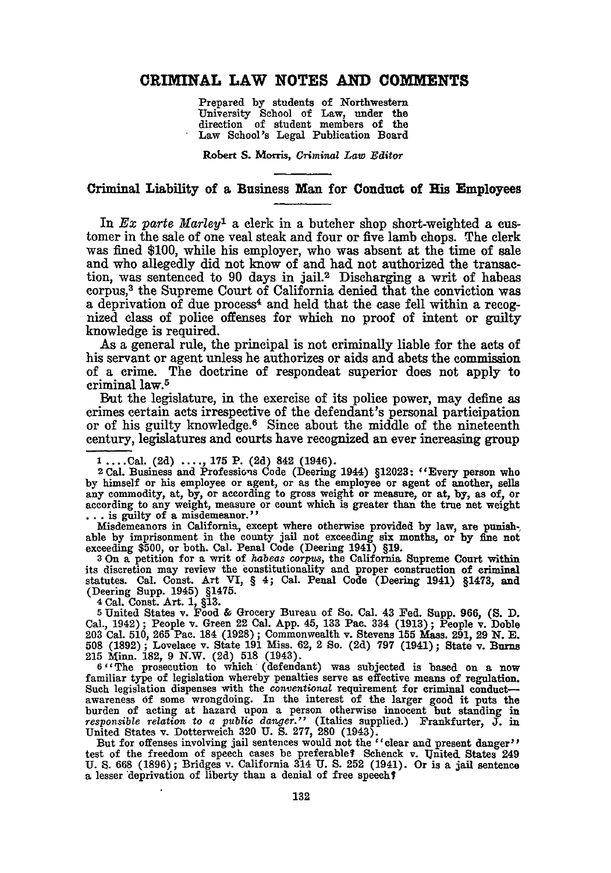### **CRIMINAL LAW NOTES AND COMMENTS**

Prepared **by** students of Northwestern University School of Law, under the direction of student members of the Law School's Legal Publication Board

Robert **S.** Morris, *Criminal Law Editor*

#### Criminal Liability of a Business Man for Conduct of **His** Employees

In *Ex parte Marley1* a clerk in a butcher shop short-weighted a customer in the sale of one veal steak and four or five lamb chops. The clerk was fined \$100, while his employer, who was absent at the time of sale and who allegedly did not know of and had not authorized the transaction, was sentenced to 90 days in jail.2 Discharging a writ of habeas corpus,<sup>3</sup> the Supreme Court of California denied that the conviction was a deprivation of due process<sup>4</sup> and held that the case fell within a recognized class of police offenses for which no proof of intent or guilty knowledge is required.

As a general rule, the principal is not criminally liable for the acts of his servant or agent unless he authorizes or aids and abets the commission of a crime. The doctrine of respondeat superior does not apply to criminal law.<sup>5</sup>

But the legislature, in the exercise of its police power, may define as crimes certain acts irrespective of the defendant's personal participation or of his guilty knowledge.6 Since about the middle of the nineteenth century, legislatures and courts have recognized an ever increasing group

Misdemeanors in California, except where otherwise provided **by** law, are punishable **by** imprisonment in the county jail not exceeding six months, or **by fine** not exceeding **\$500,** or both. Cal. Penal Code (Deering 1941) **§19. 3** On a petition for a writ of *habeas corpus,* the California Supreme Court within

its discretion may review the constitutionality and proper construction of criminal statutes. Cal. Const. Art VI, § 4; Cal. Penal Code (Deering 1941) §1473, and (Deering Supp. 1945) §1475.<br>(Cering Supp. 1945) §1475.

**<sup>5</sup>**United States v. Food **&** Grocery Bureau of So. Cal. 43 Fed. Supp. **966, (S. D.** Cal., 1942); People v. Green 22 Cal. App. 45, 133 Pac. 334 (1913); People v. Doble 203 Cal. 510, 265 Pac. 184 (1928); Commonwealth v. Stevens 155 Mass. 291, 29 N. E. 508 (1892); Lovelace v. State 191 Miss. 62, 2 So. (2d) 7 **215** Minn. **182, 9** N.W. **(2d) 518** (1943). **<sup>6</sup>**"The prosecution to which (defendant) was subjected is based on a now

familiar type of legislation whereby penalties serve as effective means of regulation. Such legislation dispenses with the *conventional* requirement for criminal conductawareness **of** some wrongdoing. In the interest of the larger good it puts the burden of acting at hazard upon a person otherwise innocent but standing in *responsible relation* to a *public danger."* (Italics supplied.) Frankfurter, **J.** in United States v. Dotterweich 320 U. S. 277, 280 (1943).<br>But for offenses involving jail sentences would not the "clear and present danger"

test of the freedom of speech cases be preferable? Schenck v. United States 249 U. S. 668 (1896); Bridges v. California 314 U. S. 252 (1941). Or is a jail sentence a lesser deprivation of liberty than a denial of free spee

**<sup>1</sup> ....** Cal. **(2d)** ..... **175** P. **(2d)** 842 (1946). 2 Cal. Business and Professions Code (Deering 1944) **§12023:** "Every person who **by** himself or his employee or agent, or as the employee or agent of another, sells any commodity, at, **by,** or according to gross weight or measure, or at, **by,** as of, or according to any weight, measure or count which is greater than the true net weight ... is guilty of a misdemeanor."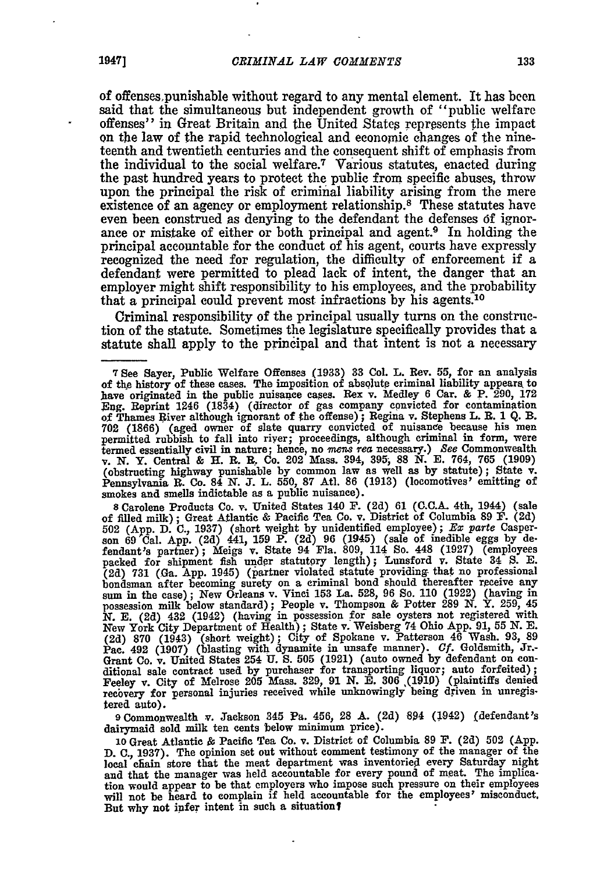of offensespunishable without regard to any mental element. It has been said that the simultaneous but independent growth of "public welfare offenses" in Great Britain and the United States represents the impact on the law of the rapid technological and economic changes of the nineteenth and twentieth centuries and the consequent shift of emphasis from the individual to the social welfare.7 Various statutes, enacted during the past hundred years to protect the public from specific abuses, throw upon the principal the risk of criminal liability arising from the mere existence of an agency or employment relationship.<sup>8</sup> These statutes have even been construed as denying to the defendant the defenses 6f ignorance or mistake of either or both principal and agent.<sup>9</sup> In holding the principal accountable for the conduct of his agent, courts have expressly recognized the need for regulation, the difficulty of enforcement if a defendant were permitted to plead lack of intent, the danger that an employer might shift responsibility to his employees, and the probability that a principal could prevent most infractions by his agents.<sup>10</sup>

Criminal responsibility of the principal usually turns on the construetion of the statute. Sometimes the legislature specifically provides that a statute shall apply to the principal and that intent is not a necessary

**8** Carolene Products Co. v. United States 140 **F. (2d)** 61 **(C.C.A.** 4th, 1944) (sale of filled milk); Great Atlantic & Pacific Tea Co. v. District of Columbia 89 F. (2d) **502** (App. D. **C.,** 1937) (short weight by unidentified employee); *Ex parte* Casperson 69 Cal. App. (2d) 441, 159 P. (2d) 96 (1945) (sale of inedible eggs by defendant's partner); Meigs v. State 94 Fla. 809, 114 So. 448 (1927) (employees packed for shipment fish under statutory length); Lunsford v. State 34 8. E. (2d) 731 (Ga. App. 1945) (partner violated statute providing that no professional bondsman after becoming surety on a criminal bond should thereafter receive any sum in the case); New Orleans v. Vinci 153 La. 528, 96 So. 110 (1922) (having in possession milk below standard); People v. Thompson & Potter *N.* **E. (2d)** 432 (1942) (having in possession for sale oysters not registered with New York City Department of Health); State v. Weisberg 74 Ohio App. 91, **55** N. **E.** (2d) 870 (1943) (short weight); City of Spokane v. Patterson 46 Wash. 93, **89** Pac. 492 (1907) (blasting with dynamite in unsafe manner). *Cf.* Goldsmith, Jr., Grant Co. v. United States 254 U. S. 505 (1921) (auto owned by defendant on conditional sale contract used by purchaser for transporting liquor; auto forfeited); Feeley v. City of Melrose 205 Mass. 329, 91 N. E. 306 (1910) tered auto).

**<sup>9</sup>**Commonwealth v. Jackson 345 **Pa.** 456, **28 A. (2d)** 894 (1942) (defendant's dairymaid sold milk ten cents below minimum price).

**<sup>10</sup>**Great Atlantic **&** Pacific Tea Co. v. District of Columbia **89 F. (2d) 502 (App. D. C., 1937).** The opinion set out without comment testimony of the manager of the local chain store that the meat department was inventoried every Saturday night and that the manager was held accountable for every pound of meat. The implication would appear to be that employers who impose such pressure on their employees will not be heard to complain if held accountable for the employees' misconduct. But why not infer intent in such a situation?

**<sup>7</sup>** See Sayer, Public Welfare Offenses (1933) **33** Col. L. Rev. 55, for an analysis of the history of these cases. The imposition of absolute criminal liability appears to have originated in the public nuisance cases. Rex v. Medley 6 Car. & P. 290, 172 Eng. Reprint 1246 (1834) (director of gas company con of Thames River although ignorant of the offense); Regina v. Stephens L. **R.** 1 Q. **B. 702** (1866) (aged owner of slate quarry convicted of nuisance because his men permitted rubbish to fall into river; proceedings, although criminal in form, were termed essentially civil in nature; hence, no mens rea necessary.) See Commonwealth v. N. Y. Central & H. R. R. Co. 202 Mass. 394, 395, 88 N. E. 764, 765 (1909) (obstructing highway punishable by common law as well as by s smokes and smells indictable as a public nuisance).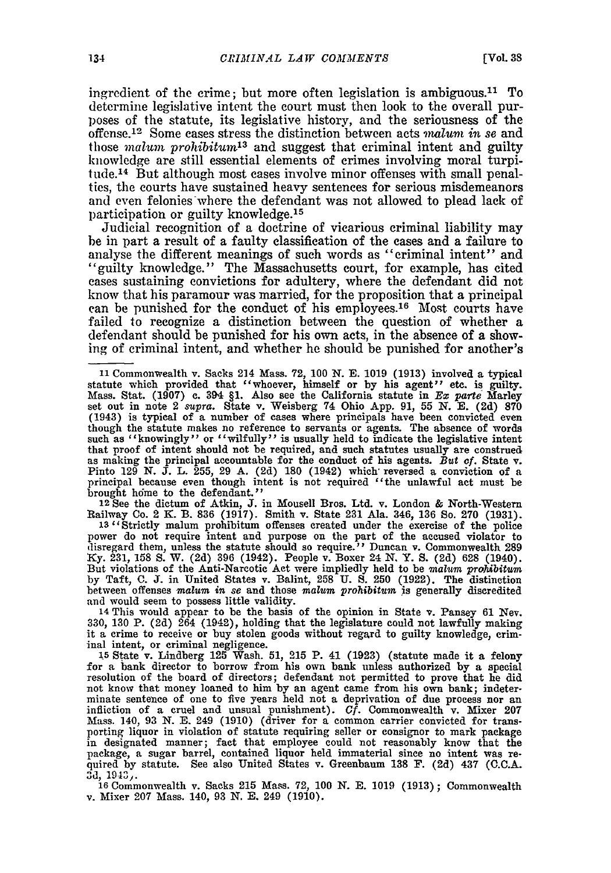ingredient of the crime; but more often legislation is ambiguous.<sup>11</sup> To determine legislative intent the court must then look to the overall purposes of the statute, its legislative history, and the seriousness of the offense.<sup>12</sup> Some cases stress the distinction between acts *malum in se* and those *malum prohibitun13* and suggest that criminal intent and guilty knowledge are still essential elements of crimes involving moral turpitude.<sup>14</sup> But although most cases involve minor offenses with small penalties, the courts have sustained heavy sentences for serious misdemeanors and even felonies where the defendant was not allowed to plead lack of participation or guilty knowledge. <sup>15</sup>

Judicial recognition of a doctrine of vicarious criminal liability may be in part a result of a faulty classification of the cases and a failure to analyse the different meanings of such words as "criminal intent" and analyse the different meanings of such words as "criminal intent" and "guilty knowledge." The Massachusetts court, for example, has cited cases sustaining convictions for adultery, where the defendant did not know that his paramour was married, for the proposition that a principal can be punished for the conduct of his employees.<sup>16</sup> Most courts have failed to recognize a distinction between the question of whether a defendant should be punished for his own acts, in the absence of a showing of criminal intent, and whether he should be punished for another's

Railway Co. 2 K. B. 836 (1917). Smith v. State 231 Ala. 346, 136 So. 270 (1931).<br>13 <sup>1</sup> Strictly malum prohibitum offenses created under the exercise of the police

power do not require intent and purpose on the part of the accused violator to disregard them, unless the statute should so require." Duncan v. Commonwealth 289 Ky. 231, 158 S. W. (2d) 396 (1942). People v. Boxer 24 N. Y. between offenses *malum in se* and those *malum prohibitun* is generally discredited

14 This would appear to be the basis of the opinion in State v. Pansey 61 Nev. 330, 130 P. (2d)  $2\overline{64}$  (1942), holding that the legislature could not lawfully making it a crime to receive or buy stolen goods without regard to guilty knowledge, criminal intent, or criminal negligence. **<sup>15</sup>**State v. Lindberg **125** Wash. **51, 215** P. 41 (1923) (statute made it a felony

for a bank director to borrow from his own bank unless authorized **by** a special resolution of the board of directors; defendant not permitted to prove that he did not know that money loaned to him by an agent came from his own bank; indeterminate sentence of one to five years held not a deprivation of due process nor an infliction of a cruel and unsual punishment). *Cf.* Commonwealth v. Mixer 207 Mass. 140, **93** N. E. 249 (1910) (driver for a common carrier convicted for transporting liquor in violation of statute requiring seller or consignor to mark package in designated manner; fact that employee could not reasonably know that the package, a sugar barrel, contained liquor held immaterial since no intent was required by statute. See also United States v. Greenbaum 138 F. (2d) 437 (C.C.A. 3d, 1943,.

**16** Commonwealth v. Sacks **215** Mass. 72, 100 *N.* **E.** 1019 (1913); Commonwealth v. Mixer 207 Mass. 140, 93 N. **E.** 249 (1910).

<sup>11</sup> Commonwealth v. Sacks 214 Mass. 72, 100 N. E. 1019 (1913) involved a typical statute which provided that "whoever, himself or by his agent" etc. is guilty. Mass. Stat. (1907) c. 394 §1. Also see the California statute set out in note 2 supra. State v. Weisberg 74 Ohio App. 91, 55 N. E. (2d) 870<br>(1943) is typical of a number of cases where principals have been convicted even though the statute makes no reference to servants or agents. The absence of words such as "knowingly" or "wilfully" is usually held to indicate the legislative intent that proof of intent should not be required, and such statutes usually are construed and anti-property of the conduct of his agents. But of State v.<br>Pinto 129 N. J. L. 255, 29 A. (2d) 180 (1942) which reversed a conviction of a<br>principal because even though intent is not required "the unlawful act must be<br> brought h6me to the defendant." **<sup>12</sup>**See the dictum of Atkin, **J.** in Mousell Bros. Ltd. v. London & North-Western